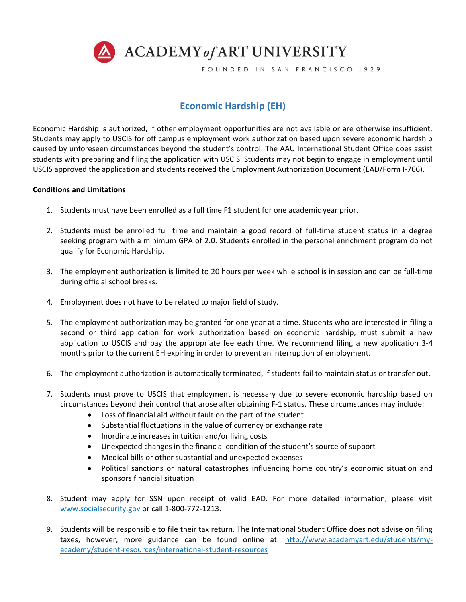

FOUNDED IN SAN FRANCISCO 1929

## **Economic Hardship (EH)**

Economic Hardship is authorized, if other employment opportunities are not available or are otherwise insufficient. Students may apply to USCIS for off campus employment work authorization based upon severe economic hardship caused by unforeseen circumstances beyond the student's control. The AAU International Student Office does assist students with preparing and filing the application with USCIS. Students may not begin to engage in employment until USCIS approved the application and students received the Employment Authorization Document (EAD/Form I-766).

## **Conditions and Limitations**

- 1. Students must have been enrolled as a full time F1 student for one academic year prior.
- 2. Students must be enrolled full time and maintain a good record of full-time student status in a degree seeking program with a minimum GPA of 2.0. Students enrolled in the personal enrichment program do not qualify for Economic Hardship.
- 3. The employment authorization is limited to 20 hours per week while school is in session and can be full-time during official school breaks.
- 4. Employment does not have to be related to major field of study.
- 5. The employment authorization may be granted for one year at a time. Students who are interested in filing a second or third application for work authorization based on economic hardship, must submit a new application to USCIS and pay the appropriate fee each time. We recommend filing a new application 3-4 months prior to the current EH expiring in order to prevent an interruption of employment.
- 6. The employment authorization is automatically terminated, if students fail to maintain status or transfer out.
- 7. Students must prove to USCIS that employment is necessary due to severe economic hardship based on circumstances beyond their control that arose after obtaining F-1 status. These circumstances may include:
	- Loss of financial aid without fault on the part of the student
	- Substantial fluctuations in the value of currency or exchange rate
	- Inordinate increases in tuition and/or living costs
	- Unexpected changes in the financial condition of the student's source of support
	- Medical bills or other substantial and unexpected expenses
	- Political sanctions or natural catastrophes influencing home country's economic situation and sponsors financial situation
- 8. Student may apply for SSN upon receipt of valid EAD. For more detailed information, please visit [www.socialsecurity.gov](http://www.socialsecurity.gov/) or call 1-800-772-1213.
- 9. Students will be responsible to file their tax return. The International Student Office does not advise on filing taxes, however, more guidance can be found online at: [http://www.academyart.edu/students/my](http://www.academyart.edu/students/my-academy/student-resources/international-student-resources)[academy/student-resources/international-student-resources](http://www.academyart.edu/students/my-academy/student-resources/international-student-resources)